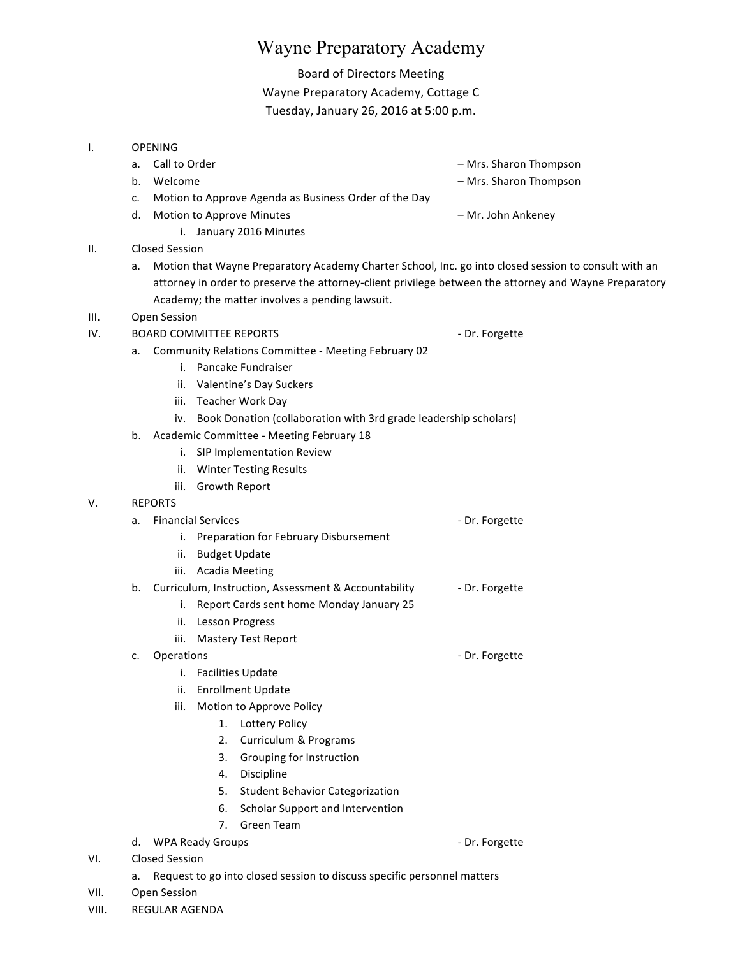# Wayne Preparatory Academy

# Board of Directors Meeting Wayne Preparatory Academy, Cottage C Tuesday, January 26, 2016 at 5:00 p.m.

#### I. OPENING

- a. Call to Order and the control of the control of the control of the control of the control of the control of the control of the control of the control of the control of the control of the control of the control of the co b. Welcome **b.** Welcome **and the state of the state of the state of the Mrs. Sharon Thompson** c. Motion to Approve Agenda as Business Order of the Day d. Motion to Approve Minutes **Example 20 and Ankeney** American Motion Ankeney i. January 2016 Minutes Academy; the matter involves a pending lawsuit. IV. BOARD COMMITTEE REPORTS **And COMMITTEE** REPORTS **1998** i. Pancake Fundraiser ii. Valentine's Day Suckers
- II. Closed Session
	- a. Motion that Wayne Preparatory Academy Charter School, Inc. go into closed session to consult with an attorney in order to preserve the attorney-client privilege between the attorney and Wayne Preparatory
- III. Open Session

- a. Community Relations Committee Meeting February 02
	- iii. Teacher Work Day
	- iv. Book Donation (collaboration with 3rd grade leadership scholars)
- b. Academic Committee Meeting February 18
	- i. SIP Implementation Review
	- ii. Winter Testing Results
	- iii. Growth Report
- V. REPORTS

## a. Financial Services **Contract Contract Contract Contract Contract Contract Contract Contract Contract Contract Contract Contract Contract Contract Contract Contract Contract Contract Contract Contract Contract Contract C**

- i. Preparation for February Disbursement
- ii. Budget Update
- iii. Acadia Meeting
- b. Curriculum, Instruction, Assessment & Accountability **Face 1** Dr. Forgette
	- i. Report Cards sent home Monday January 25
	- ii. Lesson Progress
	- iii. Mastery Test Report
- c. Operations  $\overline{\phantom{a}}$  Dr. Forgette
	- i. Facilities Update
	- ii. Enrollment Update
	- iii. Motion to Approve Policy
		- 1. Lottery Policy
		- 2. Curriculum & Programs
		- 3. Grouping for Instruction
		- 4. Discipline
		- 5. Student Behavior Categorization
		- 6. Scholar Support and Intervention
		- 7. Green Team

d. WPA Ready Groups  $\overline{a}$  by  $\overline{b}$  and  $\overline{b}$  br. Forgette

- VI. Closed Session
	- a. Request to go into closed session to discuss specific personnel matters
- VII. Open Session
- VIII. REGULAR AGENDA